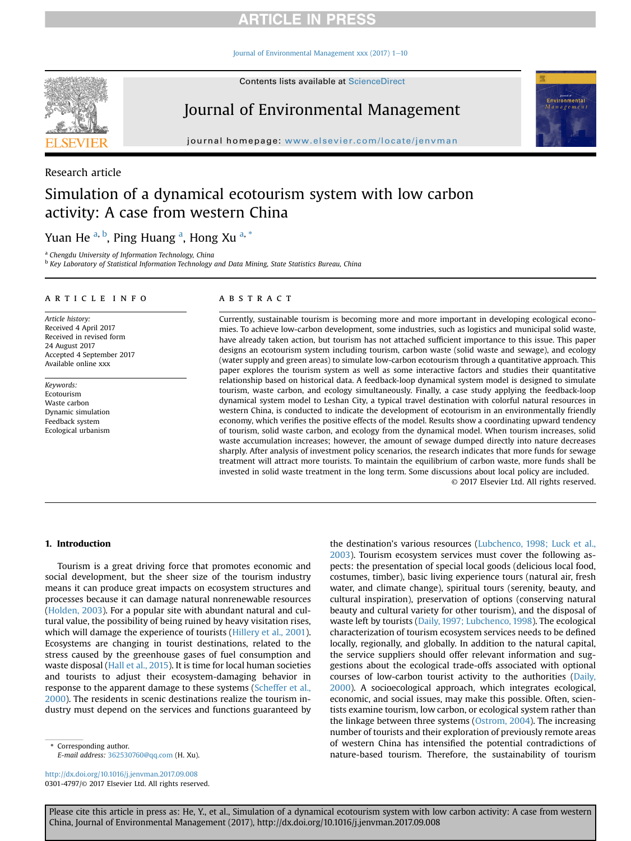### **ARTICLE IN PRESS**

Journal of Environmental Management xxx (2017)  $1-10$  $1-10$ 



Contents lists available at ScienceDirect

## Journal of Environmental Management

journal homepage: [www.elsevier.com/locate/jenvman](http://www.elsevier.com/locate/jenvman)

#### Research article

# Simulation of a dynamical ecotourism system with low carbon activity: A case from western China

### Yuan He <sup>a, b</sup>, Ping Huang <sup>a</sup>, Hong Xu <sup>a, \*</sup>

<sup>a</sup> Chengdu University of Information Technology, China

<sup>b</sup> Key Laboratory of Statistical Information Technology and Data Mining, State Statistics Bureau, China

#### article info

Article history: Received 4 April 2017 Received in revised form 24 August 2017 Accepted 4 September 2017 Available online xxx

Keywords: Ecotourism Waste carbon Dynamic simulation Feedback system Ecological urbanism

#### **ABSTRACT**

Currently, sustainable tourism is becoming more and more important in developing ecological economies. To achieve low-carbon development, some industries, such as logistics and municipal solid waste, have already taken action, but tourism has not attached sufficient importance to this issue. This paper designs an ecotourism system including tourism, carbon waste (solid waste and sewage), and ecology (water supply and green areas) to simulate low-carbon ecotourism through a quantitative approach. This paper explores the tourism system as well as some interactive factors and studies their quantitative relationship based on historical data. A feedback-loop dynamical system model is designed to simulate tourism, waste carbon, and ecology simultaneously. Finally, a case study applying the feedback-loop dynamical system model to Leshan City, a typical travel destination with colorful natural resources in western China, is conducted to indicate the development of ecotourism in an environmentally friendly economy, which verifies the positive effects of the model. Results show a coordinating upward tendency of tourism, solid waste carbon, and ecology from the dynamical model. When tourism increases, solid waste accumulation increases; however, the amount of sewage dumped directly into nature decreases sharply. After analysis of investment policy scenarios, the research indicates that more funds for sewage treatment will attract more tourists. To maintain the equilibrium of carbon waste, more funds shall be invested in solid waste treatment in the long term. Some discussions about local policy are included. © 2017 Elsevier Ltd. All rights reserved.

#### 1. Introduction

Tourism is a great driving force that promotes economic and social development, but the sheer size of the tourism industry means it can produce great impacts on ecosystem structures and processes because it can damage natural nonrenewable resources (Holden, 2003). For a popular site with abundant natural and cultural value, the possibility of being ruined by heavy visitation rises, which will damage the experience of tourists (Hillery et al., 2001). Ecosystems are changing in tourist destinations, related to the stress caused by the greenhouse gases of fuel consumption and waste disposal (Hall et al., 2015). It is time for local human societies and tourists to adjust their ecosystem-damaging behavior in response to the apparent damage to these systems (Scheffer et al., 2000). The residents in scenic destinations realize the tourism industry must depend on the services and functions guaranteed by

Corresponding author. E-mail address: [362530760@qq.com](mailto:362530760@qq.com) (H. Xu).

<http://dx.doi.org/10.1016/j.jenvman.2017.09.008> 0301-4797/© 2017 Elsevier Ltd. All rights reserved. the destination's various resources (Lubchenco, 1998; Luck et al., 2003). Tourism ecosystem services must cover the following aspects: the presentation of special local goods (delicious local food, costumes, timber), basic living experience tours (natural air, fresh water, and climate change), spiritual tours (serenity, beauty, and cultural inspiration), preservation of options (conserving natural beauty and cultural variety for other tourism), and the disposal of waste left by tourists (Daily, 1997; Lubchenco, 1998). The ecological characterization of tourism ecosystem services needs to be defined locally, regionally, and globally. In addition to the natural capital, the service suppliers should offer relevant information and suggestions about the ecological trade-offs associated with optional courses of low-carbon tourist activity to the authorities (Daily, 2000). A socioecological approach, which integrates ecological, economic, and social issues, may make this possible. Often, scientists examine tourism, low carbon, or ecological system rather than the linkage between three systems (Ostrom, 2004). The increasing number of tourists and their exploration of previously remote areas of western China has intensified the potential contradictions of nature-based tourism. Therefore, the sustainability of tourism

Please cite this article in press as: He, Y., et al., Simulation of a dynamical ecotourism system with low carbon activity: A case from western China, Journal of Environmental Management (2017), http://dx.doi.org/10.1016/j.jenvman.2017.09.008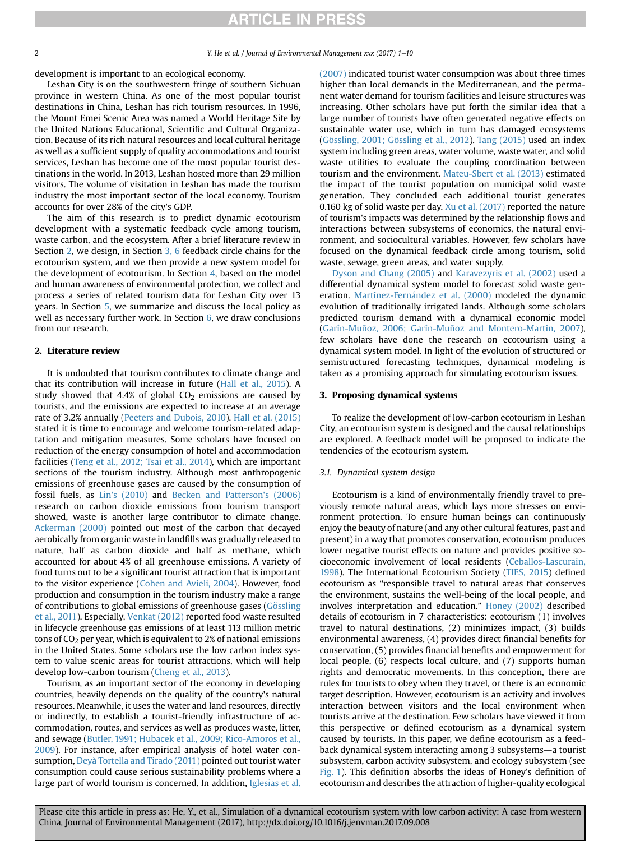### **ARTICLE IN PRESS**

2 2 Y. He et al. / Journal of Environmental Management xxx (2017) 1–10

development is important to an ecological economy.

Leshan City is on the southwestern fringe of southern Sichuan province in western China. As one of the most popular tourist destinations in China, Leshan has rich tourism resources. In 1996, the Mount Emei Scenic Area was named a World Heritage Site by the United Nations Educational, Scientific and Cultural Organization. Because of its rich natural resources and local cultural heritage as well as a sufficient supply of quality accommodations and tourist services, Leshan has become one of the most popular tourist destinations in the world. In 2013, Leshan hosted more than 29 million visitors. The volume of visitation in Leshan has made the tourism industry the most important sector of the local economy. Tourism accounts for over 28% of the city's GDP.

The aim of this research is to predict dynamic ecotourism development with a systematic feedback cycle among tourism, waste carbon, and the ecosystem. After a brief literature review in Section 2, we design, in Section 3, 6 feedback circle chains for the ecotourism system, and we then provide a new system model for the development of ecotourism. In Section 4, based on the model and human awareness of environmental protection, we collect and process a series of related tourism data for Leshan City over 13 years. In Section 5, we summarize and discuss the local policy as well as necessary further work. In Section 6, we draw conclusions from our research.

#### 2. Literature review

It is undoubted that tourism contributes to climate change and that its contribution will increase in future (Hall et al., 2015). A study showed that 4.4% of global  $CO<sub>2</sub>$  emissions are caused by tourists, and the emissions are expected to increase at an average rate of 3.2% annually (Peeters and Dubois, 2010). Hall et al. (2015) stated it is time to encourage and welcome tourism-related adaptation and mitigation measures. Some scholars have focused on reduction of the energy consumption of hotel and accommodation facilities (Teng et al., 2012; Tsai et al., 2014), which are important sections of the tourism industry. Although most anthropogenic emissions of greenhouse gases are caused by the consumption of fossil fuels, as Lin's (2010) and Becken and Patterson's (2006) research on carbon dioxide emissions from tourism transport showed, waste is another large contributor to climate change. Ackerman (2000) pointed out most of the carbon that decayed aerobically from organic waste in landfills was gradually released to nature, half as carbon dioxide and half as methane, which accounted for about 4% of all greenhouse emissions. A variety of food turns out to be a significant tourist attraction that is important to the visitor experience (Cohen and Avieli, 2004). However, food production and consumption in the tourism industry make a range of contributions to global emissions of greenhouse gases (Gössling et al., 2011). Especially, Venkat (2012) reported food waste resulted in lifecycle greenhouse gas emissions of at least 113 million metric tons of CO2 per year, which is equivalent to 2% of national emissions in the United States. Some scholars use the low carbon index system to value scenic areas for tourist attractions, which will help develop low-carbon tourism (Cheng et al., 2013).

Tourism, as an important sector of the economy in developing countries, heavily depends on the quality of the country's natural resources. Meanwhile, it uses the water and land resources, directly or indirectly, to establish a tourist-friendly infrastructure of accommodation, routes, and services as well as produces waste, litter, and sewage (Butler, 1991; Hubacek et al., 2009; Rico-Amoros et al., 2009). For instance, after empirical analysis of hotel water consumption, Deyà Tortella and Tirado (2011) pointed out tourist water consumption could cause serious sustainability problems where a large part of world tourism is concerned. In addition, Iglesias et al. (2007) indicated tourist water consumption was about three times higher than local demands in the Mediterranean, and the permanent water demand for tourism facilities and leisure structures was increasing. Other scholars have put forth the similar idea that a large number of tourists have often generated negative effects on sustainable water use, which in turn has damaged ecosystems (Gössling, 2001; Gössling et al., 2012). Tang  $(2015)$  used an index system including green areas, water volume, waste water, and solid waste utilities to evaluate the coupling coordination between tourism and the environment. Mateu-Sbert et al. (2013) estimated the impact of the tourist population on municipal solid waste generation. They concluded each additional tourist generates 0.160 kg of solid waste per day. Xu et al. (2017) reported the nature of tourism's impacts was determined by the relationship flows and interactions between subsystems of economics, the natural environment, and sociocultural variables. However, few scholars have focused on the dynamical feedback circle among tourism, solid waste, sewage, green areas, and water supply.

Dyson and Chang (2005) and Karavezyris et al. (2002) used a differential dynamical system model to forecast solid waste generation. Martínez-Fernández et al. (2000) modeled the dynamic evolution of traditionally irrigated lands. Although some scholars predicted tourism demand with a dynamical economic model (Garín-Muñoz, 2006; Garín-Muñoz and Montero-Martín, 2007), few scholars have done the research on ecotourism using a dynamical system model. In light of the evolution of structured or semistructured forecasting techniques, dynamical modeling is taken as a promising approach for simulating ecotourism issues.

#### 3. Proposing dynamical systems

To realize the development of low-carbon ecotourism in Leshan City, an ecotourism system is designed and the causal relationships are explored. A feedback model will be proposed to indicate the tendencies of the ecotourism system.

#### 3.1. Dynamical system design

Ecotourism is a kind of environmentally friendly travel to previously remote natural areas, which lays more stresses on environment protection. To ensure human beings can continuously enjoy the beauty of nature (and any other cultural features, past and present) in a way that promotes conservation, ecotourism produces lower negative tourist effects on nature and provides positive socioeconomic involvement of local residents (Ceballos-Lascurain, 1998). The International Ecotourism Society (TIES, 2015) defined ecotourism as "responsible travel to natural areas that conserves the environment, sustains the well-being of the local people, and involves interpretation and education." Honey (2002) described details of ecotourism in 7 characteristics: ecotourism (1) involves travel to natural destinations, (2) minimizes impact, (3) builds environmental awareness, (4) provides direct financial benefits for conservation, (5) provides financial benefits and empowerment for local people, (6) respects local culture, and (7) supports human rights and democratic movements. In this conception, there are rules for tourists to obey when they travel, or there is an economic target description. However, ecotourism is an activity and involves interaction between visitors and the local environment when tourists arrive at the destination. Few scholars have viewed it from this perspective or defined ecotourism as a dynamical system caused by tourists. In this paper, we define ecotourism as a feedback dynamical system interacting among 3 subsystems—a tourist subsystem, carbon activity subsystem, and ecology subsystem (see Fig. 1). This definition absorbs the ideas of Honey's definition of ecotourism and describes the attraction of higher-quality ecological

Please cite this article in press as: He, Y., et al., Simulation of a dynamical ecotourism system with low carbon activity: A case from western China, Journal of Environmental Management (2017), http://dx.doi.org/10.1016/j.jenvman.2017.09.008